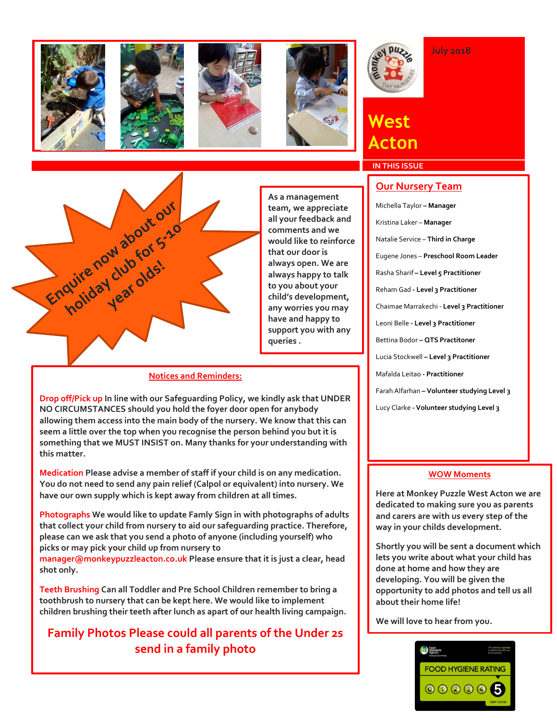









# **West Acton**

## **IN THIS ISSUE**



**As a management team, we appreciate all your feedback and comments and we would like to reinforce that our door is always open. We are always happy to talk to you about your child's development, any worries you may have and happy to support you with any queries .** 

### **Notices and Reminders:**

**Drop off/Pick up In line with our Safeguarding Policy, we kindly ask that UNDER NO CIRCUMSTANCES should you hold the foyer door open for anybody allowing them access into the main body of the nursery. We know that this can seem a little over the top when you recognise the person behind you but it is something that we MUST INSIST on. Many thanks for your understanding with this matter.** 

**Medication Please advise a member of staff if your child is on any medication. You do not need to send any pain relief (Calpol or equivalent) into nursery. We have our own supply which is kept away from children at all times.** 

**Photographs We would like to update Famly Sign in with photographs of adults that collect your child from nursery to aid our safeguarding practice. Therefore, please can we ask that you send a photo of anyone (including yourself) who picks or may pick your child up from nursery to** 

**manager@monkeypuzzleacton.co.uk Please ensure that it is just a clear, head shot only.**

**Teeth Brushing Can all Toddler and Pre School Children remember to bring a toothbrush to nursery that can be kept here. We would like to implement children brushing their teeth after lunch as apart of our health living campaign.**

### **Family Photos Please could all parents of the Under 2s send in a family photo**

### **Our Nursery Team**

**July 2018**

11th May 2016 Rasha Sharif **– Level 5 Practitioner** Michella Taylor **– Manager** Kristina Laker – **Manager**  Natalie Service – **Third in Charge** Eugene Jones – **Preschool Room Leader** Reham Gad **- Level 3 Practitioner** Chaimae Marrakechi - **Level 3 Practitioner** Leoni Belle **- Level 3 Practitioner** Bettina Bodor **– QTS Practitoner**  Lucia Stockwell **– Level 3 Practitioner** Mafalda Leitao **- Practitioner** Farah Alfarhan **– Volunteer studying Level 3** Lucy Clarke **- Volunteer studying Level 3**

### **WOW Moments**

**Here at Monkey Puzzle West Acton we are dedicated to making sure you as parents and carers are with us every step of the way in your childs development.** 

**Shortly you will be sent a document which lets you write about what your child has done at home and how they are developing. You will be given the opportunity to add photos and tell us all about their home life!**

**We will love to hear from you.**